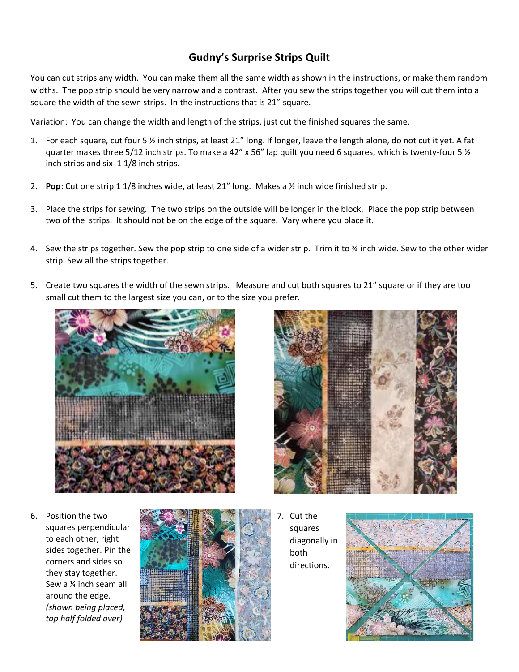## **Gudny's Surprise Strips Quilt**

You can cut strips any width. You can make them all the same width as shown in the instructions, or make them random widths. The pop strip should be very narrow and a contrast. After you sew the strips together you will cut them into a square the width of the sewn strips. In the instructions that is 21" square.

Variation: You can change the width and length of the strips, just cut the finished squares the same.

- 1. For each square, cut four 5 ½ inch strips, at least 21" long. If longer, leave the length alone, do not cut it yet. A fat quarter makes three 5/12 inch strips. To make a 42" x 56" lap quilt you need 6 squares, which is twenty-four 5  $\frac{1}{2}$ inch strips and six 1 1/8 inch strips.
- 2. **Pop**: Cut one strip 1 1/8 inches wide, at least 21" long. Makes a ½ inch wide finished strip.
- 3. Place the strips for sewing. The two strips on the outside will be longer in the block. Place the pop strip between two of the strips. It should not be on the edge of the square. Vary where you place it.
- 4. Sew the strips together. Sew the pop strip to one side of a wider strip. Trim it to % inch wide. Sew to the other wider strip. Sew all the strips together.
- 5. Create two squares the width of the sewn strips. Measure and cut both squares to 21" square or if they are too small cut them to the largest size you can, or to the size you prefer.



6. Position the two squares perpendicular to each other, right sides together. Pin the corners and sides so they stay together. Sew a ¼ inch seam all around the edge. *(shown being placed, top half folded over)*





7. Cut the squares diagonally in both directions.